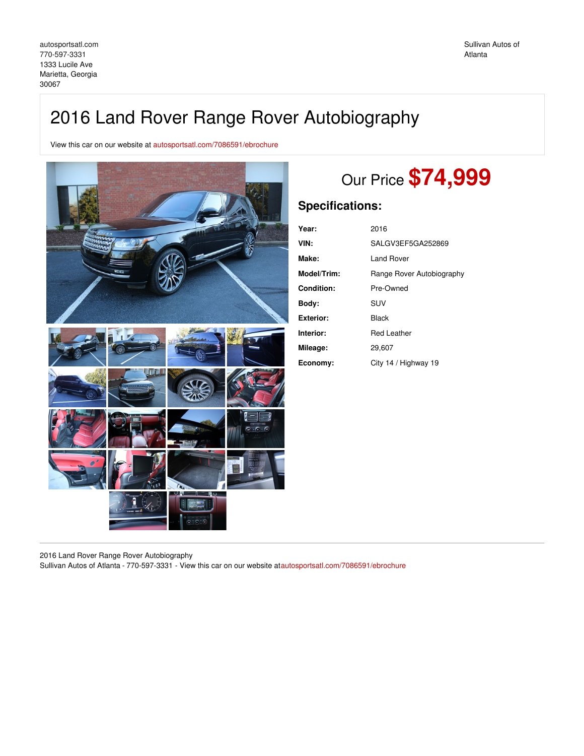# 2016 Land Rover Range Rover Autobiography

View this car on our website at [autosportsatl.com/7086591/ebrochure](https://autosportsatl.com/vehicle/7086591/2016-land-rover-range-rover-autobiography-marietta-georgia-30067/7086591/ebrochure)



# Our Price **\$74,999**

## **Specifications:**

| Year:            | 2016                      |
|------------------|---------------------------|
| VIN:             | SALGV3EF5GA252869         |
| Make:            | Land Rover                |
| Model/Trim:      | Range Rover Autobiography |
| Condition:       | Pre-Owned                 |
| Body:            | SUV                       |
| <b>Exterior:</b> | Black                     |
| Interior:        | Red Leather               |
| Mileage:         | 29.607                    |
| Economy:         | City 14 / Highway 19      |

2016 Land Rover Range Rover Autobiography

Sullivan Autos of Atlanta - 770-597-3331 - View this car on our website a[tautosportsatl.com/7086591/ebrochure](https://autosportsatl.com/vehicle/7086591/2016-land-rover-range-rover-autobiography-marietta-georgia-30067/7086591/ebrochure)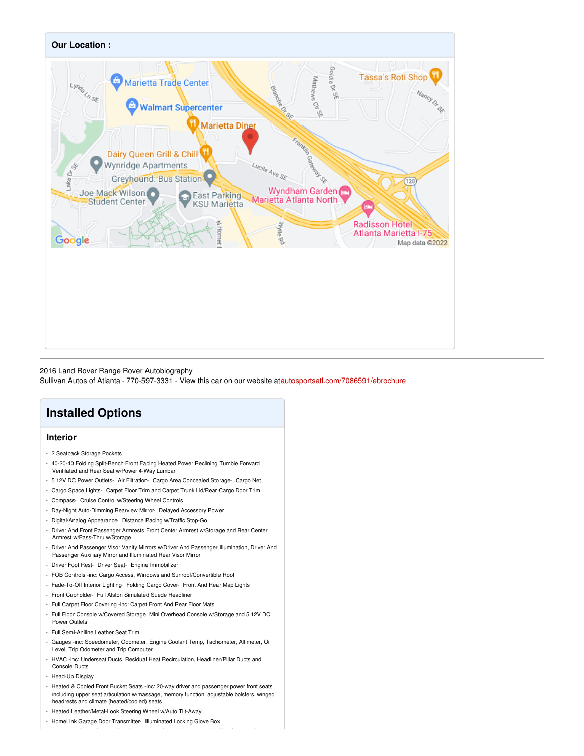

### 2016 Land Rover Range Rover Autobiography

Sullivan Autos of Atlanta - 770-597-3331 - View this car on our website a[tautosportsatl.com/7086591/ebrochure](https://autosportsatl.com/vehicle/7086591/2016-land-rover-range-rover-autobiography-marietta-georgia-30067/7086591/ebrochure)

## **Installed Options**

### **Interior**

- 2 Seatback Storage Pockets
- 40-20-40 Folding Split-Bench Front Facing Heated Power Reclining Tumble Forward Ventilated and Rear Seat w/Power 4-Way Lumbar
- 5 12V DC Power Outlets- Air Filtration- Cargo Area Concealed Storage- Cargo Net
- Cargo Space Lights- Carpet Floor Trim and Carpet Trunk Lid/Rear Cargo Door Trim
- Compass- Cruise Control w/Steering Wheel Controls
- Day-Night Auto-Dimming Rearview Mirror- Delayed Accessory Power
- Digital/Analog Appearance- Distance Pacing w/Traffic Stop-Go
- Driver And Front Passenger Armrests Front Center Armrest w/Storage and Rear Center Armrest w/Pass-Thru w/Storage
- Driver And Passenger Visor Vanity Mirrors w/Driver And Passenger Illumination, Driver And Passenger Auxiliary Mirror and Illuminated Rear Visor Mirror
- Driver Foot Rest- Driver Seat- Engine Immobilizer
- FOB Controls -inc: Cargo Access, Windows and Sunroof/Convertible Roof
- Fade-To-Off Interior Lighting- Folding Cargo Cover- Front And Rear Map Lights
- Front Cupholder- Full Alston Simulated Suede Headliner
- Full Carpet Floor Covering -inc: Carpet Front And Rear Floor Mats
- Full Floor Console w/Covered Storage, Mini Overhead Console w/Storage and 5 12V DC Power Outlets
- Full Semi-Aniline Leather Seat Trim
- Gauges -inc: Speedometer, Odometer, Engine Coolant Temp, Tachometer, Altimeter, Oil Level, Trip Odometer and Trip Computer
- HVAC -inc: Underseat Ducts, Residual Heat Recirculation, Headliner/Pillar Ducts and Console Ducts
- Head-Up Display
- Heated & Cooled Front Bucket Seats -inc: 20-way driver and passenger power front seats including upper seat articulation w/massage, memory function, adjustable bolsters, winged headrests and climate (heated/cooled) seats
- Heated Leather/Metal-Look Steering Wheel w/Auto Tilt-Away
- HomeLink Garage Door Transmitter- Illuminated Locking Glove Box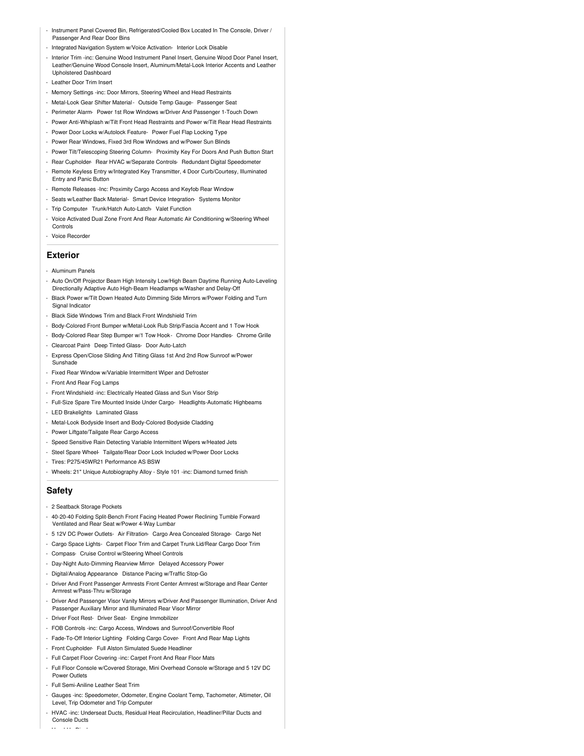- Instrument Panel Covered Bin, Refrigerated/Cooled Box Located In The Console, Driver / Passenger And Rear Door Bins
- Integrated Navigation System w/Voice Activation- Interior Lock Disable
- Interior Trim -inc: Genuine Wood Instrument Panel Insert, Genuine Wood Door Panel Insert, Leather/Genuine Wood Console Insert, Aluminum/Metal-Look Interior Accents and Leather Upholstered Dashboard
- Leather Door Trim Insert
- Memory Settings -inc: Door Mirrors, Steering Wheel and Head Restraints
- Metal-Look Gear Shifter Material- Outside Temp Gauge- Passenger Seat
- Perimeter Alarm- Power 1st Row Windows w/Driver And Passenger 1-Touch Down
- Power Anti-Whiplash w/Tilt Front Head Restraints and Power w/Tilt Rear Head Restraints - Power Door Locks w/Autolock Feature- Power Fuel Flap Locking Type
- Power Rear Windows, Fixed 3rd Row Windows and w/Power Sun Blinds
- Power Tilt/Telescoping Steering Column- Proximity Key For Doors And Push Button Start
- Rear Cupholder- Rear HVAC w/Separate Controls- Redundant Digital Speedometer
- Remote Keyless Entry w/Integrated Key Transmitter, 4 Door Curb/Courtesy, Illuminated Entry and Panic Button
- Remote Releases -Inc: Proximity Cargo Access and Keyfob Rear Window
- Seats w/Leather Back Material- Smart Device Integration- Systems Monitor
- Trip Computer- Trunk/Hatch Auto-Latch- Valet Function
- Voice Activated Dual Zone Front And Rear Automatic Air Conditioning w/Steering Wheel **Controls**
- Voice Recorder

### **Exterior**

- Aluminum Panels
- Auto On/Off Projector Beam High Intensity Low/High Beam Daytime Running Auto-Leveling Directionally Adaptive Auto High-Beam Headlamps w/Washer and Delay-Off
- Black Power w/Tilt Down Heated Auto Dimming Side Mirrors w/Power Folding and Turn Signal Indicator
- Black Side Windows Trim and Black Front Windshield Trim
- Body-Colored Front Bumper w/Metal-Look Rub Strip/Fascia Accent and 1 Tow Hook
- Body-Colored Rear Step Bumper w/1 Tow Hook- Chrome Door Handles- Chrome Grille
- Clearcoat Paint- Deep Tinted Glass- Door Auto-Latch
- Express Open/Close Sliding And Tilting Glass 1st And 2nd Row Sunroof w/Power Sunshade
- Fixed Rear Window w/Variable Intermittent Wiper and Defroster
- Front And Rear Fog Lamps
- Front Windshield -inc: Electrically Heated Glass and Sun Visor Strip
- Full-Size Spare Tire Mounted Inside Under Cargo- Headlights-Automatic Highbeams
- LED Brakelights- Laminated Glass
- Metal-Look Bodyside Insert and Body-Colored Bodyside Cladding
- Power Liftgate/Tailgate Rear Cargo Access
- Speed Sensitive Rain Detecting Variable Intermittent Wipers w/Heated Jets
- Steel Spare Wheel- Tailgate/Rear Door Lock Included w/Power Door Locks
- Tires: P275/45WR21 Performance AS BSW
- Wheels: 21" Unique Autobiography Alloy Style 101 -inc: Diamond turned finish

## **Safety**

- 2 Seatback Storage Pockets
- 40-20-40 Folding Split-Bench Front Facing Heated Power Reclining Tumble Forward Ventilated and Rear Seat w/Power 4-Way Lumbar
- 5 12V DC Power Outlets- Air Filtration- Cargo Area Concealed Storage- Cargo Net
- Cargo Space Lights- Carpet Floor Trim and Carpet Trunk Lid/Rear Cargo Door Trim
- Compass- Cruise Control w/Steering Wheel Controls
- Day-Night Auto-Dimming Rearview Mirror- Delayed Accessory Power
- Digital/Analog Appearance- Distance Pacing w/Traffic Stop-Go
- Driver And Front Passenger Armrests Front Center Armrest w/Storage and Rear Center Armrest w/Pass-Thru w/Storage
- Driver And Passenger Visor Vanity Mirrors w/Driver And Passenger Illumination, Driver And Passenger Auxiliary Mirror and Illuminated Rear Visor Mirror
- Driver Foot Rest- Driver Seat- Engine Immobilizer
- FOB Controls -inc: Cargo Access, Windows and Sunroof/Convertible Roof
- Fade-To-Off Interior Lighting- Folding Cargo Cover- Front And Rear Map Lights
- Front Cupholder- Full Alston Simulated Suede Headliner
- Full Carpet Floor Covering -inc: Carpet Front And Rear Floor Mats
- Full Floor Console w/Covered Storage, Mini Overhead Console w/Storage and 5 12V DC Power Outlets
- Full Semi-Aniline Leather Seat Trim
- Gauges -inc: Speedometer, Odometer, Engine Coolant Temp, Tachometer, Altimeter, Oil Level, Trip Odometer and Trip Computer
- HVAC -inc: Underseat Ducts, Residual Heat Recirculation, Headliner/Pillar Ducts and Console Ducts

- Head-Up Display